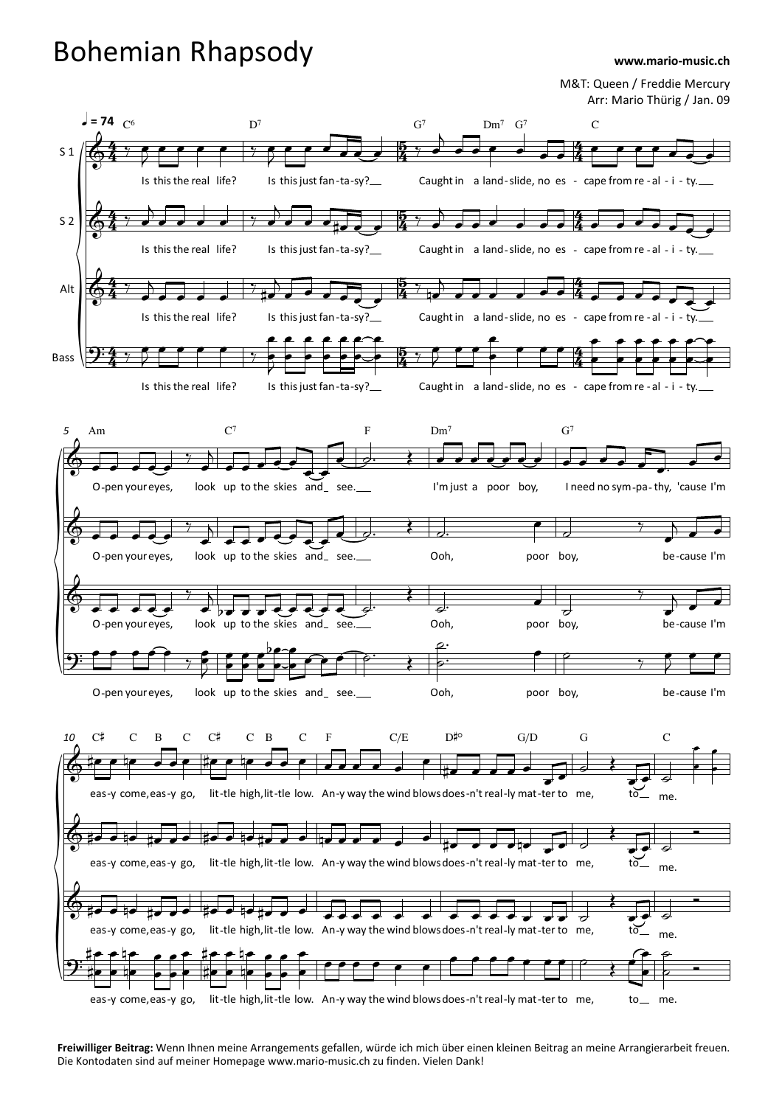## Bohemian Rhapsody

**www.mario-music.ch**

M&T: Queen / Freddie Mercury Arr: Mario Thürig / Jan. 09



**Freiwilliger Beitrag:** Wenn Ihnen meine Arrangements gefallen, würde ich mich über einen kleinen Beitrag an meine Arrangierarbeit freuen. Die Kontodaten sind auf meiner Homepage www.mario-music.ch zu finden. Vielen Dank!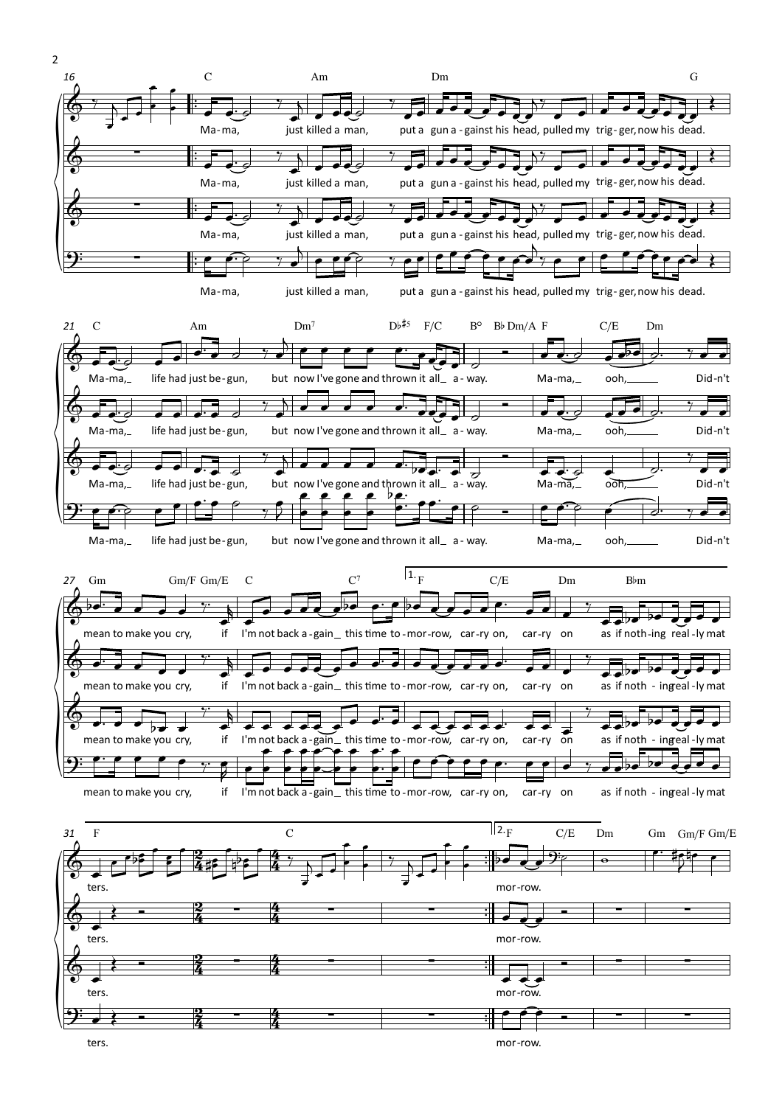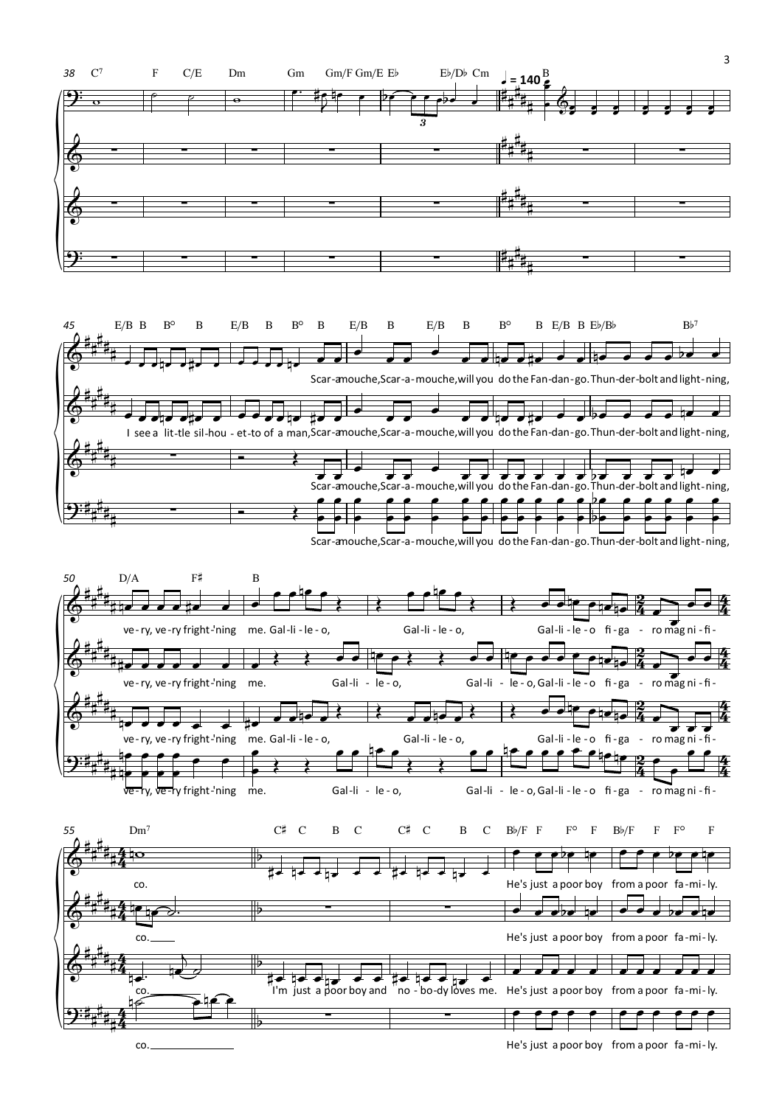



Scar-anouche, Scar-a-mouche, will you do the Fan-dan-go. Thun-der-bolt and light-ning,



CO.

He's just a poor boy from a poor fa-mi-ly.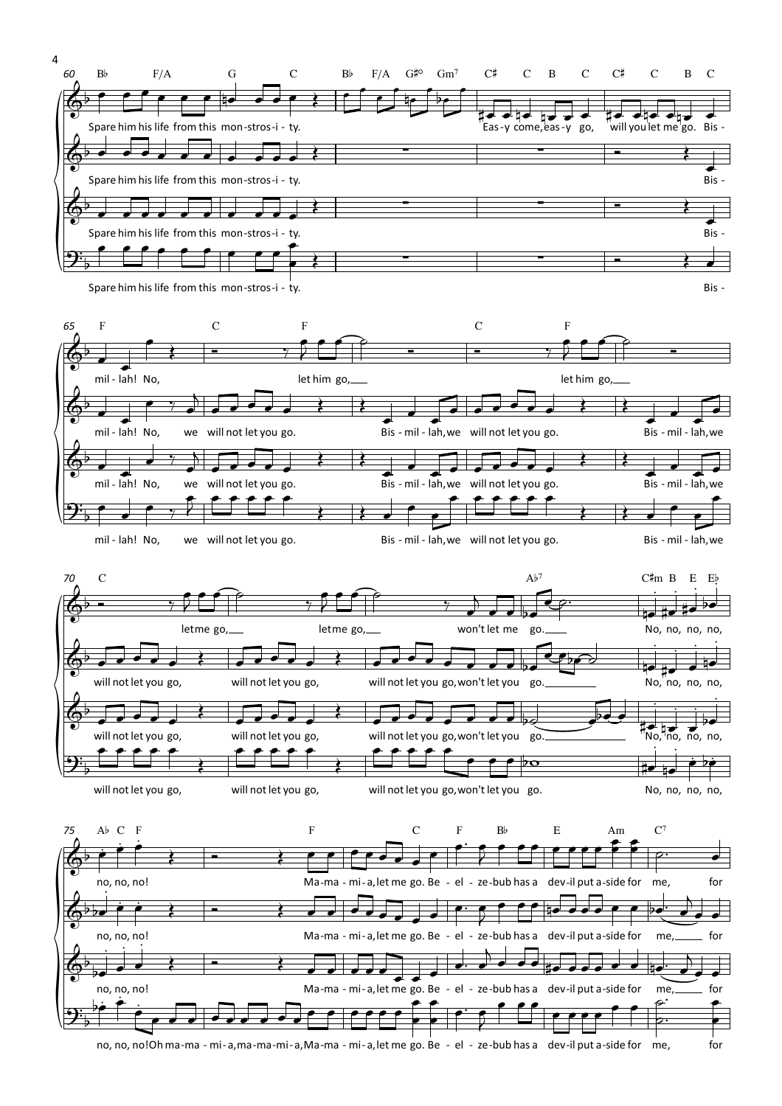

no, no, no!Oh ma-ma - mi-a, ma-ma-mi-a, Ma-ma - mi-a, let me go. Be - el - ze-bub has a dev-il put a-side for me, for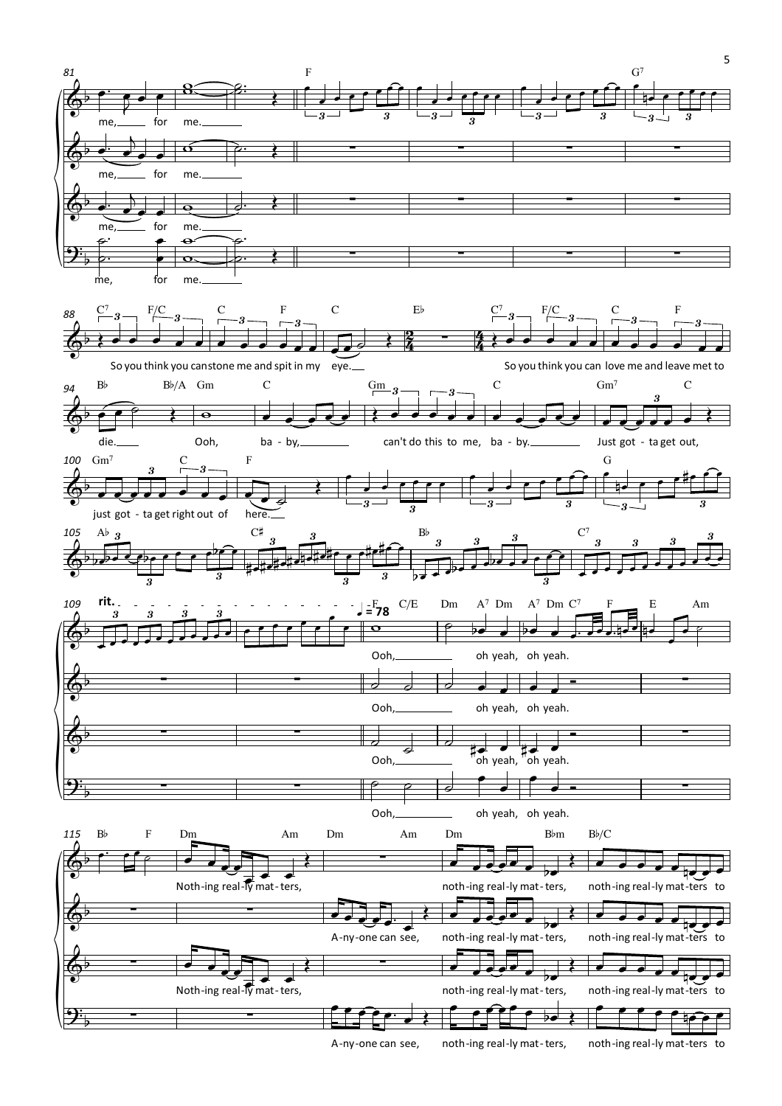

A-ny-one can see, noth-ing real-ly mat-ters, noth-ing real-ly mat-ters to